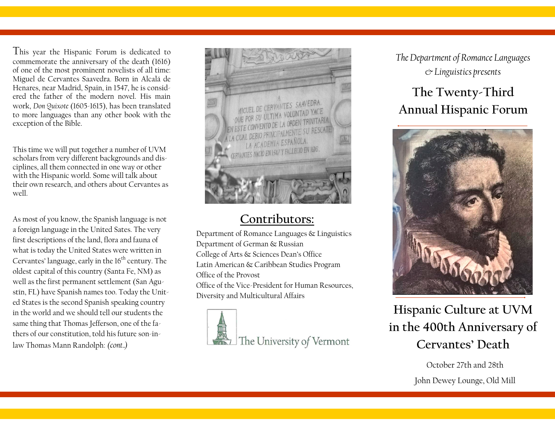This year the Hispanic Forum is dedicated to commemorate the anniversary of the death (1616) of one of the most prominent novelists of all time: Miguel de Cervantes Saavedra. Born in Alcalá de Henares, near Madrid, Spain, in 1547, he is considered the father of the modern novel. His main work, *Don Quixote* (1605-1615), has been translated to more languages than any other book with the exception of the Bible.

This time we will put together a number of UVM scholars from very different backgrounds and disciplines, all them connected in one way or other with the Hispanic world. Some will talk about their own research, and others about Cervantes as well.

As most of you know, the Spanish language is not a foreign language in the United Sates. The very first descriptions of the land, flora and fauna of what is today the United States were written in Cervantes' language, early in the  $16<sup>th</sup>$  century. The oldest capital of this country (Santa Fe, NM) as well as the first permanent settlement (San Agustín, FL) have Spanish names too. Today the United States is the second Spanish speaking country in the world and we should tell our students the same thing that Thomas Jefferson, one of the fathers of our constitution, told his future son-inlaw Thomas Mann Randolph: *(cont..)*



## **Contributors:**

Department of Romance Languages & Linguistics Department of German & Russian College of Arts & Sciences Dean's Office Latin American & Caribbean Studies Program Office of the Provost Office of the Vice-President for Human Resources, Diversity and Multicultural Affairs



*The Department of Romance Languages & Linguistics presents*

## **The Twenty-Third Annual Hispanic Forum**



**Hispanic Culture at UVM in the 400th Anniversary of Cervantes' Death**

> October 27th and 28th John Dewey Lounge, Old Mill